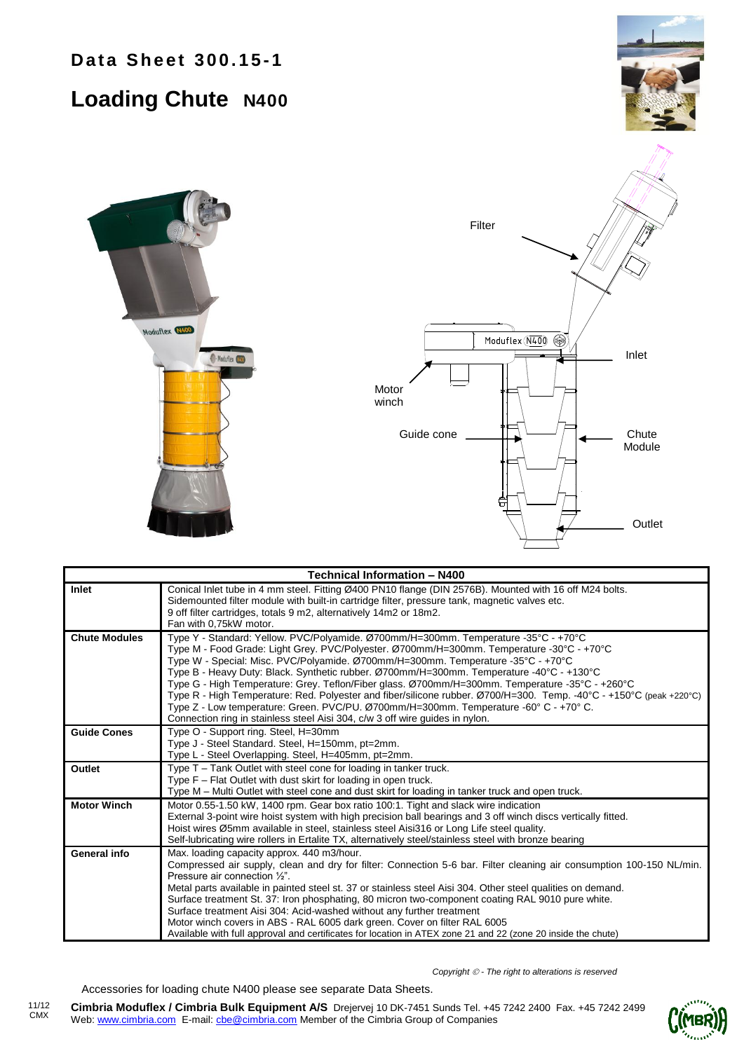## **Loading Chute N400**







| <b>Technical Information - N400</b> |                                                                                                                                                                                                                 |  |  |  |  |
|-------------------------------------|-----------------------------------------------------------------------------------------------------------------------------------------------------------------------------------------------------------------|--|--|--|--|
| <b>Inlet</b>                        | Conical Inlet tube in 4 mm steel. Fitting Ø400 PN10 flange (DIN 2576B). Mounted with 16 off M24 bolts.<br>Sidemounted filter module with built-in cartridge filter, pressure tank, magnetic valves etc.         |  |  |  |  |
|                                     | 9 off filter cartridges, totals 9 m2, alternatively 14m2 or 18m2.                                                                                                                                               |  |  |  |  |
|                                     | Fan with 0,75kW motor.                                                                                                                                                                                          |  |  |  |  |
| <b>Chute Modules</b>                | Type Y - Standard: Yellow. PVC/Polyamide. Ø700mm/H=300mm. Temperature -35°C - +70°C                                                                                                                             |  |  |  |  |
|                                     | Type M - Food Grade: Light Grey. PVC/Polyester. Ø700mm/H=300mm. Temperature -30°C - +70°C<br>Type W - Special: Misc. PVC/Polyamide. Ø700mm/H=300mm. Temperature -35°C - +70°C                                   |  |  |  |  |
|                                     | Type B - Heavy Duty: Black. Synthetic rubber. Ø700mm/H=300mm. Temperature -40°C - +130°C                                                                                                                        |  |  |  |  |
|                                     | Type G - High Temperature: Grey. Teflon/Fiber glass. Ø700mm/H=300mm. Temperature -35°C - +260°C                                                                                                                 |  |  |  |  |
|                                     | Type R - High Temperature: Red. Polyester and fiber/silicone rubber. Ø700/H=300. Temp. -40°C - +150°C (peak +220°C)                                                                                             |  |  |  |  |
|                                     | Type Z - Low temperature: Green. PVC/PU. Ø700mm/H=300mm. Temperature -60° C - +70° C.<br>Connection ring in stainless steel Aisi 304, c/w 3 off wire guides in nylon.                                           |  |  |  |  |
| <b>Guide Cones</b>                  | Type O - Support ring. Steel, H=30mm                                                                                                                                                                            |  |  |  |  |
|                                     | Type J - Steel Standard. Steel, H=150mm, pt=2mm.                                                                                                                                                                |  |  |  |  |
|                                     | Type L - Steel Overlapping. Steel, H=405mm, pt=2mm.                                                                                                                                                             |  |  |  |  |
| Outlet                              | Type T – Tank Outlet with steel cone for loading in tanker truck.                                                                                                                                               |  |  |  |  |
|                                     | Type F – Flat Outlet with dust skirt for loading in open truck.                                                                                                                                                 |  |  |  |  |
|                                     | Type M - Multi Outlet with steel cone and dust skirt for loading in tanker truck and open truck.                                                                                                                |  |  |  |  |
| <b>Motor Winch</b>                  | Motor 0.55-1.50 kW, 1400 rpm. Gear box ratio 100:1. Tight and slack wire indication                                                                                                                             |  |  |  |  |
|                                     | External 3-point wire hoist system with high precision ball bearings and 3 off winch discs vertically fitted.<br>Hoist wires Ø5mm available in steel, stainless steel Aisi316 or Long Life steel quality.       |  |  |  |  |
|                                     | Self-lubricating wire rollers in Ertalite TX, alternatively steel/stainless steel with bronze bearing                                                                                                           |  |  |  |  |
| <b>General info</b>                 | Max. loading capacity approx. 440 m3/hour.                                                                                                                                                                      |  |  |  |  |
|                                     | Compressed air supply, clean and dry for filter: Connection 5-6 bar. Filter cleaning air consumption 100-150 NL/min.                                                                                            |  |  |  |  |
|                                     | Pressure air connection 1/2".                                                                                                                                                                                   |  |  |  |  |
|                                     | Metal parts available in painted steel st. 37 or stainless steel Aisi 304. Other steel qualities on demand.<br>Surface treatment St. 37: Iron phosphating, 80 micron two-component coating RAL 9010 pure white. |  |  |  |  |
|                                     | Surface treatment Aisi 304: Acid-washed without any further treatment                                                                                                                                           |  |  |  |  |
|                                     | Motor winch covers in ABS - RAL 6005 dark green. Cover on filter RAL 6005                                                                                                                                       |  |  |  |  |
|                                     | Available with full approval and certificates for location in ATEX zone 21 and 22 (zone 20 inside the chute)                                                                                                    |  |  |  |  |

*Copyright - The right to alterations is reserved*

Accessories for loading chute N400 please see separate Data Sheets.

**Cimbria Moduflex / Cimbria Bulk Equipment A/S** Drejervej 10 DK-7451 Sunds Tel. +45 7242 2400 Fax. +45 7242 2499 Web: www.cimbria.com E-mail: cbe@cimbria.com Member of the Cimbria Group of Companies 11/12 CMX